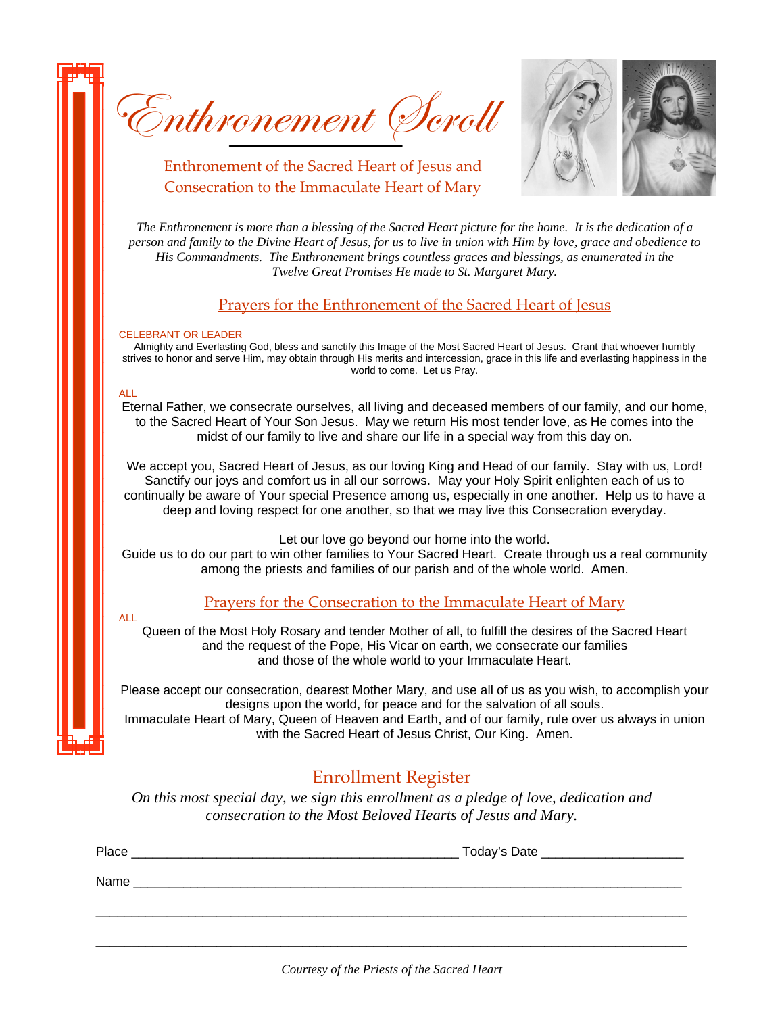Enthronement Scroll



Enthronement of the Sacred Heart of Jesus and Consecration to the Immaculate Heart of Mary

*The Enthronement is more than a blessing of the Sacred Heart picture for the home. It is the dedication of a person and family to the Divine Heart of Jesus, for us to live in union with Him by love, grace and obedience to His Commandments. The Enthronement brings countless graces and blessings, as enumerated in the Twelve Great Promises He made to St. Margaret Mary.* 

## Prayers for the Enthronement of the Sacred Heart of Jesus

#### CELEBRANT OR LEADER

Almighty and Everlasting God, bless and sanctify this Image of the Most Sacred Heart of Jesus. Grant that whoever humbly strives to honor and serve Him, may obtain through His merits and intercession, grace in this life and everlasting happiness in the world to come. Let us Pray.

### ALL

Eternal Father, we consecrate ourselves, all living and deceased members of our family, and our home, to the Sacred Heart of Your Son Jesus. May we return His most tender love, as He comes into the midst of our family to live and share our life in a special way from this day on.

We accept you, Sacred Heart of Jesus, as our loving King and Head of our family. Stay with us, Lord! Sanctify our joys and comfort us in all our sorrows. May your Holy Spirit enlighten each of us to continually be aware of Your special Presence among us, especially in one another. Help us to have a deep and loving respect for one another, so that we may live this Consecration everyday.

Let our love go beyond our home into the world.

Guide us to do our part to win other families to Your Sacred Heart. Create through us a real community among the priests and families of our parish and of the whole world. Amen.

# Prayers for the Consecration to the Immaculate Heart of Mary

ALL

Queen of the Most Holy Rosary and tender Mother of all, to fulfill the desires of the Sacred Heart and the request of the Pope, His Vicar on earth, we consecrate our families and those of the whole world to your Immaculate Heart.

Please accept our consecration, dearest Mother Mary, and use all of us as you wish, to accomplish your designs upon the world, for peace and for the salvation of all souls.

Immaculate Heart of Mary, Queen of Heaven and Earth, and of our family, rule over us always in union with the Sacred Heart of Jesus Christ, Our King. Amen.

# Enrollment Register

*On this most special day, we sign this enrollment as a pledge of love, dedication and consecration to the Most Beloved Hearts of Jesus and Mary.* 

| Place | Today's Date |
|-------|--------------|
| Name  |              |
|       |              |
|       |              |

\_\_\_\_\_\_\_\_\_\_\_\_\_\_\_\_\_\_\_\_\_\_\_\_\_\_\_\_\_\_\_\_\_\_\_\_\_\_\_\_\_\_\_\_\_\_\_\_\_\_\_\_\_\_\_\_\_\_\_\_\_\_\_\_\_\_\_\_\_\_\_\_\_\_\_\_\_\_\_\_\_\_\_